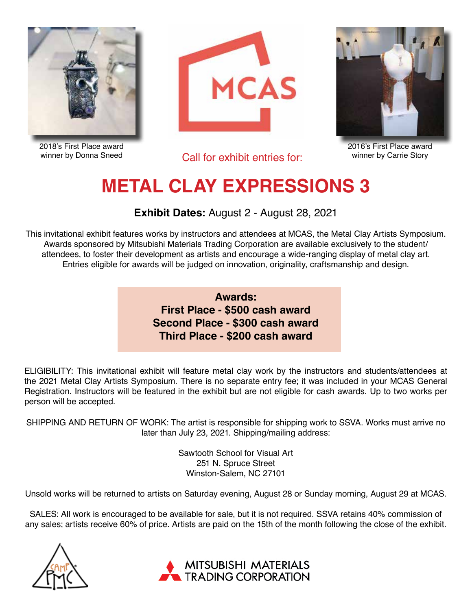

2018's First Place award winner by Donna Sneed





Call for exhibit entries for:

2016's First Place award winner by Carrie Story

## **METAL CLAY EXPRESSIONS 3**

**Exhibit Dates:** August 2 - August 28, 2021

This invitational exhibit features works by instructors and attendees at MCAS, the Metal Clay Artists Symposium. Awards sponsored by Mitsubishi Materials Trading Corporation are available exclusively to the student/ attendees, to foster their development as artists and encourage a wide-ranging display of metal clay art. Entries eligible for awards will be judged on innovation, originality, craftsmanship and design.

> **Awards: First Place - \$500 cash award Second Place - \$300 cash award Third Place - \$200 cash award**

ELIGIBILITY: This invitational exhibit will feature metal clay work by the instructors and students/attendees at the 2021 Metal Clay Artists Symposium. There is no separate entry fee; it was included in your MCAS General Registration. Instructors will be featured in the exhibit but are not eligible for cash awards. Up to two works per person will be accepted.

SHIPPING AND RETURN OF WORK: The artist is responsible for shipping work to SSVA. Works must arrive no later than July 23, 2021. Shipping/mailing address:

> Sawtooth School for Visual Art 251 N. Spruce Street Winston-Salem, NC 27101

Unsold works will be returned to artists on Saturday evening, August 28 or Sunday morning, August 29 at MCAS.

SALES: All work is encouraged to be available for sale, but it is not required. SSVA retains 40% commission of any sales; artists receive 60% of price. Artists are paid on the 15th of the month following the close of the exhibit.